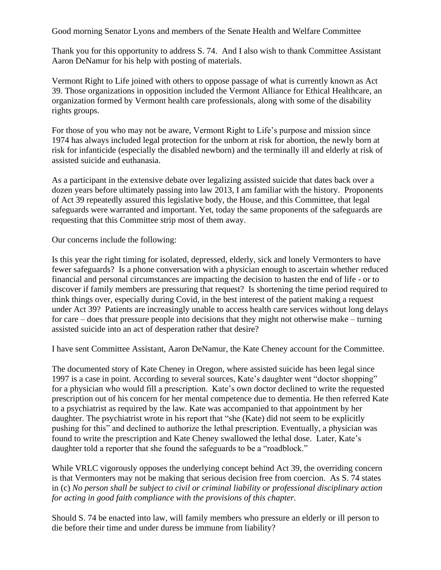Good morning Senator Lyons and members of the Senate Health and Welfare Committee

Thank you for this opportunity to address S. 74. And I also wish to thank Committee Assistant Aaron DeNamur for his help with posting of materials.

Vermont Right to Life joined with others to oppose passage of what is currently known as Act 39. Those organizations in opposition included the Vermont Alliance for Ethical Healthcare, an organization formed by Vermont health care professionals, along with some of the disability rights groups.

For those of you who may not be aware, Vermont Right to Life's purpose and mission since 1974 has always included legal protection for the unborn at risk for abortion, the newly born at risk for infanticide (especially the disabled newborn) and the terminally ill and elderly at risk of assisted suicide and euthanasia.

As a participant in the extensive debate over legalizing assisted suicide that dates back over a dozen years before ultimately passing into law 2013, I am familiar with the history. Proponents of Act 39 repeatedly assured this legislative body, the House, and this Committee, that legal safeguards were warranted and important. Yet, today the same proponents of the safeguards are requesting that this Committee strip most of them away.

Our concerns include the following:

Is this year the right timing for isolated, depressed, elderly, sick and lonely Vermonters to have fewer safeguards? Is a phone conversation with a physician enough to ascertain whether reduced financial and personal circumstances are impacting the decision to hasten the end of life - or to discover if family members are pressuring that request? Is shortening the time period required to think things over, especially during Covid, in the best interest of the patient making a request under Act 39? Patients are increasingly unable to access health care services without long delays for care – does that pressure people into decisions that they might not otherwise make – turning assisted suicide into an act of desperation rather that desire?

I have sent Committee Assistant, Aaron DeNamur, the Kate Cheney account for the Committee.

The documented story of Kate Cheney in Oregon, where assisted suicide has been legal since 1997 is a case in point. According to several sources, Kate's daughter went "doctor shopping" for a physician who would fill a prescription. Kate's own doctor declined to write the requested prescription out of his concern for her mental competence due to dementia. He then referred Kate to a psychiatrist as required by the law. Kate was accompanied to that appointment by her daughter. The psychiatrist wrote in his report that "she (Kate) did not seem to be explicitly pushing for this" and declined to authorize the lethal prescription. Eventually, a physician was found to write the prescription and Kate Cheney swallowed the lethal dose. Later, Kate's daughter told a reporter that she found the safeguards to be a "roadblock."

While VRLC vigorously opposes the underlying concept behind Act 39, the overriding concern is that Vermonters may not be making that serious decision free from coercion. As S. 74 states in (c) *No person shall be subject to civil or criminal liability or professional disciplinary action for acting in good faith compliance with the provisions of this chapter.*

Should S. 74 be enacted into law, will family members who pressure an elderly or ill person to die before their time and under duress be immune from liability?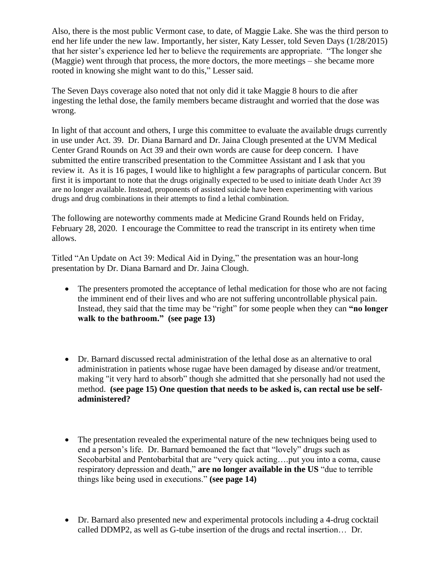Also, there is the most public Vermont case, to date, of Maggie Lake. She was the third person to end her life under the new law. Importantly, her sister, Katy Lesser, told Seven Days (1/28/2015) that her sister's experience led her to believe the requirements are appropriate. "The longer she (Maggie) went through that process, the more doctors, the more meetings – she became more rooted in knowing she might want to do this," Lesser said.

The Seven Days coverage also noted that not only did it take Maggie 8 hours to die after ingesting the lethal dose, the family members became distraught and worried that the dose was wrong.

In light of that account and others, I urge this committee to evaluate the available drugs currently in use under Act. 39. Dr. Diana Barnard and Dr. Jaina Clough presented at the UVM Medical Center Grand Rounds on Act 39 and their own words are cause for deep concern. I have submitted the entire transcribed presentation to the Committee Assistant and I ask that you review it. As it is 16 pages, I would like to highlight a few paragraphs of particular concern. But first it is important to note that the drugs originally expected to be used to initiate death Under Act 39 are no longer available. Instead, proponents of assisted suicide have been experimenting with various drugs and drug combinations in their attempts to find a lethal combination.

The following are noteworthy comments made at Medicine Grand Rounds held on Friday, February 28, 2020. I encourage the Committee to read the transcript in its entirety when time allows.

Titled "An Update on Act 39: Medical Aid in Dying," the presentation was an hour-long presentation by Dr. Diana Barnard and Dr. Jaina Clough.

- The presenters promoted the acceptance of lethal medication for those who are not facing the imminent end of their lives and who are not suffering uncontrollable physical pain. Instead, they said that the time may be "right" for some people when they can **"no longer walk to the bathroom." (see page 13)**
- Dr. Barnard discussed rectal administration of the lethal dose as an alternative to oral administration in patients whose rugae have been damaged by disease and/or treatment, making "it very hard to absorb" though she admitted that she personally had not used the method. **(see page 15) One question that needs to be asked is, can rectal use be selfadministered?**
- The presentation revealed the experimental nature of the new techniques being used to end a person's life. Dr. Barnard bemoaned the fact that "lovely" drugs such as Secobarbital and Pentobarbital that are "very quick acting….put you into a coma, cause respiratory depression and death," **are no longer available in the US** "due to terrible things like being used in executions." **(see page 14)**
- Dr. Barnard also presented new and experimental protocols including a 4-drug cocktail called DDMP2, as well as G-tube insertion of the drugs and rectal insertion… Dr.